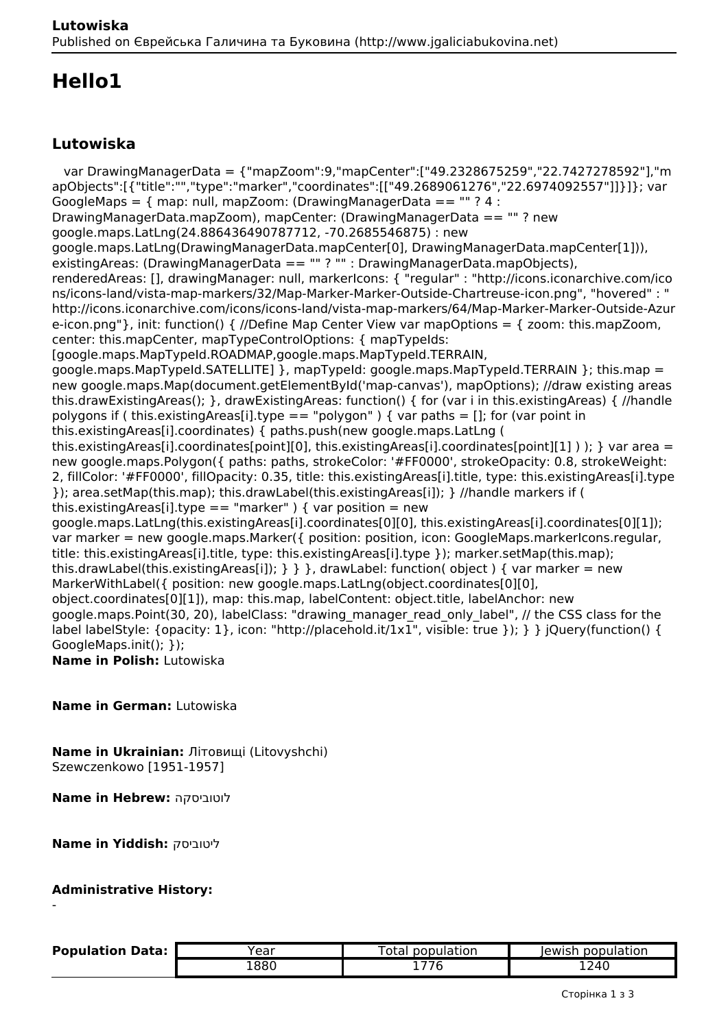# **Hello1**

## **Lutowiska**

 var DrawingManagerData = {"mapZoom":9,"mapCenter":["49.2328675259","22.7427278592"],"m apObjects":[{"title":"","type":"marker","coordinates":[["49.2689061276","22.6974092557"]]}]}; var GoogleMaps =  $\{$  map: null, mapZoom: (DrawingManagerData == "" ? 4 : DrawingManagerData.mapZoom), mapCenter: (DrawingManagerData == "" ? new google.maps.LatLng(24.886436490787712, -70.2685546875) : new google.maps.LatLng(DrawingManagerData.mapCenter[0], DrawingManagerData.mapCenter[1])), existingAreas: (DrawingManagerData == "" ? "" : DrawingManagerData.mapObjects), renderedAreas: [], drawingManager: null, markerIcons: { "regular" : "http://icons.iconarchive.com/ico ns/icons-land/vista-map-markers/32/Map-Marker-Marker-Outside-Chartreuse-icon.png", "hovered" : " http://icons.iconarchive.com/icons/icons-land/vista-map-markers/64/Map-Marker-Marker-Outside-Azur e-icon.png"}, init: function() { //Define Map Center View var mapOptions = { zoom: this.mapZoom, center: this.mapCenter, mapTypeControlOptions: { mapTypeIds: [google.maps.MapTypeId.ROADMAP,google.maps.MapTypeId.TERRAIN, google.maps.MapTypeId.SATELLITE1 }, mapTypeId: google.maps.MapTypeId.TERRAIN }: this.map = new google.maps.Map(document.getElementById('map-canvas'), mapOptions); //draw existing areas this.drawExistingAreas(); }, drawExistingAreas: function() { for (var i in this.existingAreas) { //handle polygons if ( this.existingAreas[i].type == "polygon" ) { var paths = []; for (var point in this.existingAreas[i].coordinates) { paths.push(new google.maps.LatLng ( this.existingAreas[i].coordinates[point][0], this.existingAreas[i].coordinates[point][1] ) ); } var area = new google.maps.Polygon({ paths: paths, strokeColor: '#FF0000', strokeOpacity: 0.8, strokeWeight: 2, fillColor: '#FF0000', fillOpacity: 0.35, title: this.existingAreas[i].title, type: this.existingAreas[i].type }); area.setMap(this.map); this.drawLabel(this.existingAreas[i]); } //handle markers if ( this.existingAreas[i].type == "marker" ) { var position = new google.maps.LatLng(this.existingAreas[i].coordinates[0][0], this.existingAreas[i].coordinates[0][1]); var marker = new google.maps.Marker({ position: position, icon: GoogleMaps.markerIcons.regular, title: this.existingAreas[i].title, type: this.existingAreas[i].type }); marker.setMap(this.map); this.drawLabel(this.existingAreas[i]);  $\}$  } }, drawLabel: function( object ) { var marker = new MarkerWithLabel({ position: new google.maps.LatLng(object.coordinates[0][0], object.coordinates[0][1]), map: this.map, labelContent: object.title, labelAnchor: new google.maps.Point(30, 20), labelClass: "drawing\_manager\_read\_only\_label", // the CSS class for the label labelStyle: {opacity: 1}, icon: "http://placehold.it/1x1", visible: true }); } } jQuery(function() { GoogleMaps.init(); }); **Name in Polish:** Lutowiska

**Name in German:** Lutowiska

**Name in Ukrainian:** Літовищі (Litovyshchi) Szewczenkowo [1951-1957]

**Name in Hebrew:** לוטוביסקה

**Name in Yiddish:** ליטוביסק

#### **Administrative History:**

-

| <b>Population Data:</b> | rear | otal<br>population                      | population<br>lewish. |
|-------------------------|------|-----------------------------------------|-----------------------|
|                         | 1880 | $\rightarrow$ $\rightarrow$ $\sim$<br>u | 1240                  |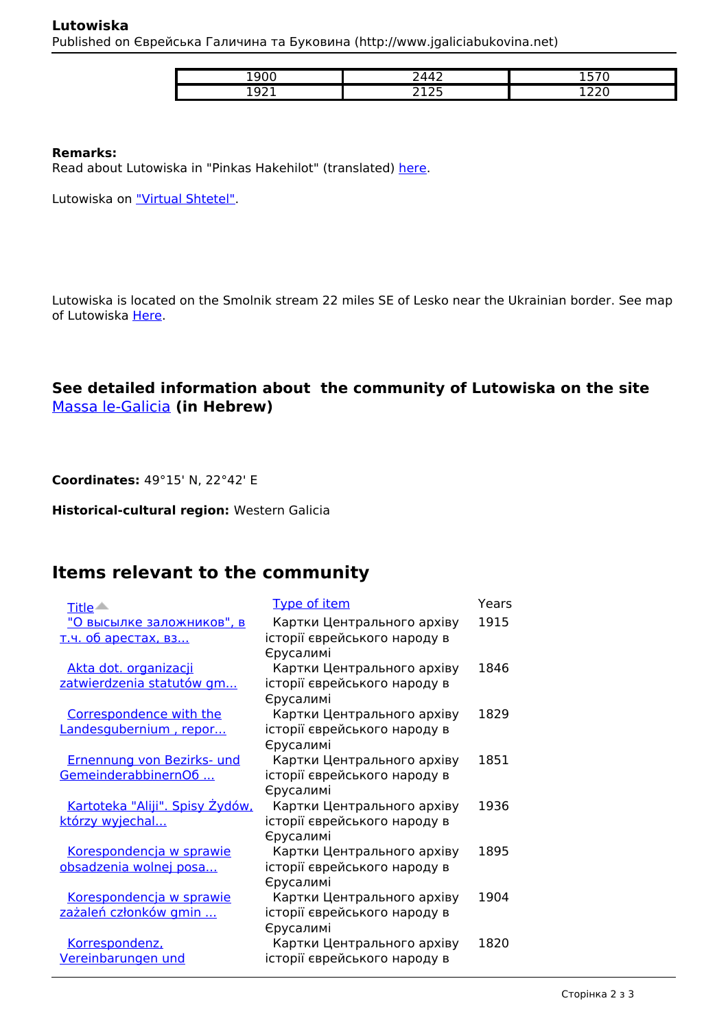#### **Lutowiska** Published on Єврейська Галичина та Буковина (http://www.jgaliciabukovina.net)

| ----     | . .                                    | $- - -$<br>- |
|----------|----------------------------------------|--------------|
| .<br>. . | $\sim$ $-$<br>$\sim$ $\sim$<br>- - - - | - -<br>--    |

#### **Remarks:**

Read about Lutowiska in "Pinkas Hakehilot" (translated) [here.](http://www.jewishgen.org/yizkor/pinkas_poland/pol2_00296.html)

Lutowiska on "Virtual Shtetel".

Lutowiska is located on the Smolnik stream 22 miles SE of Lesko near the Ukrainian border. See map of Lutowiska Here.

## **See detailed information about the community of Lutowiska on the site**  Massa le-Galicia **(in Hebrew)**

**Coordinates:** 49°15' N, 22°42' E

**Historical-cultural region:** Western Galicia

# **Items relevant to the community**

| Title <                                | <b>Type of item</b>                                        | Years |
|----------------------------------------|------------------------------------------------------------|-------|
| <u>"О высылке заложников", в</u>       | Картки Центрального архіву                                 | 1915  |
| <u>т.ч. об арестах, вз</u>             | історії єврейського народу в                               |       |
|                                        | Єрусалимі                                                  |       |
| Akta dot. organizacji                  | Картки Центрального архіву                                 | 1846  |
| zatwierdzenia statutów gm              | історії єврейського народу в                               |       |
|                                        | Єрусалимі                                                  |       |
| Correspondence with the                | Картки Центрального архіву                                 | 1829  |
| Landesgubernium, repor                 | історії єврейського народу в<br>Єрусалимі                  |       |
| Ernennung von Bezirks- und             | Картки Центрального архіву                                 | 1851  |
| GemeinderabbinernO6                    | історії єврейського народу в                               |       |
|                                        | Єрусалимі                                                  |       |
| <u>Kartoteka "Aliji". Spisy Żydów,</u> | Картки Центрального архіву                                 | 1936  |
| którzy wyjechal                        | історії єврейського народу в                               |       |
|                                        | Єрусалимі                                                  |       |
| Korespondencja w sprawie               | Картки Центрального архіву                                 | 1895  |
| obsadzenia wolnej posa                 | історії єврейського народу в                               |       |
|                                        | Єрусалимі                                                  |       |
| Korespondencja w sprawie               | Картки Центрального архіву                                 | 1904  |
| zażaleń członków gmin                  | історії єврейського народу в                               |       |
|                                        | Єрусалимі                                                  |       |
| Korrespondenz,<br>Vereinbarungen und   | Картки Центрального архіву<br>історії єврейського народу в | 1820  |
|                                        |                                                            |       |